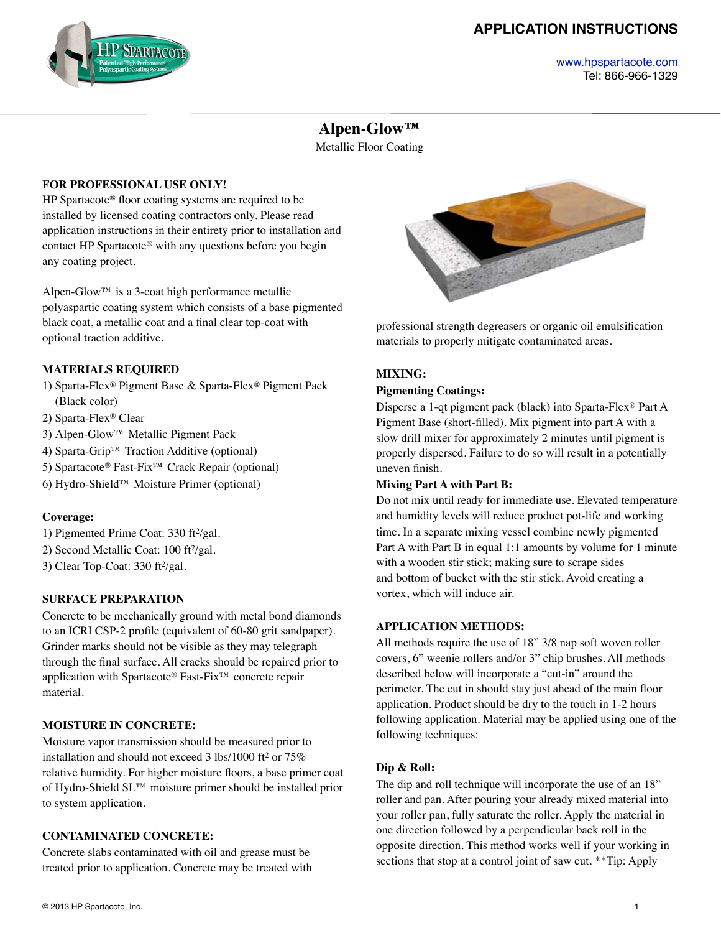# **APPLICATION INSTRUCTIONS**



#### [www.hpspartacote.com](http://www.hpspartacote.com) Tel: 866-966-1329

# **Alpen-Glow™**

Metallic Floor Coating

## **FOR PROFESSIONAL USE ONLY!**

HP Spartacote® floor coating systems are required to be installed by licensed coating contractors only. Please read application instructions in their entirety prior to installation and contact HP Spartacote® with any questions before you begin any coating project.

Alpen-Glow™ is a 3-coat high performance metallic polyaspartic coating system which consists of a base pigmented black coat, a metallic coat and a final clear top-coat with optional traction additive.

## **MATERIALS REQUIRED**

- 1) Sparta-Flex® Pigment Base & Sparta-Flex® Pigment Pack (Black color)
- 2) Sparta-Flex® Clear
- 3) Alpen-Glow™ Metallic Pigment Pack
- 4) Sparta-Grip™ Traction Additive (optional)
- 5) Spartacote® Fast-Fix™ Crack Repair (optional)
- 6) Hydro-Shield™ Moisture Primer (optional)

## **Coverage:**

- 1) Pigmented Prime Coat: 330 ft2/gal.
- 2) Second Metallic Coat: 100 ft<sup>2</sup>/gal.
- 3) Clear Top-Coat:  $330 \text{ ft}^2\text{/gal.}$

## **SURFACE PREPARATION**

Concrete to be mechanically ground with metal bond diamonds to an ICRI CSP-2 profile (equivalent of 60-80 grit sandpaper). Grinder marks should not be visible as they may telegraph through the final surface. All cracks should be repaired prior to application with Spartacote® Fast-Fix™ concrete repair material.

## **MOISTURE IN CONCRETE:**

Moisture vapor transmission should be measured prior to installation and should not exceed 3 lbs/1000 ft<sup>2</sup> or 75% relative humidity. For higher moisture floors, a base primer coat of Hydro-Shield SL™ moisture primer should be installed prior to system application.

## **CONTAMINATED CONCRETE:**

Concrete slabs contaminated with oil and grease must be treated prior to application. Concrete may be treated with



professional strength degreasers or organic oil emulsification materials to properly mitigate contaminated areas.

## **MIXING:**

#### **Pigmenting Coatings:**

Disperse a 1-qt pigment pack (black) into Sparta-Flex® Part A Pigment Base (short-filled). Mix pigment into part A with a slow drill mixer for approximately 2 minutes until pigment is properly dispersed. Failure to do so will result in a potentially uneven finish.

#### **Mixing Part A with Part B:**

Do not mix until ready for immediate use. Elevated temperature and humidity levels will reduce product pot-life and working time. In a separate mixing vessel combine newly pigmented Part A with Part B in equal 1:1 amounts by volume for 1 minute with a wooden stir stick; making sure to scrape sides and bottom of bucket with the stir stick. Avoid creating a vortex, which will induce air.

## **APPLICATION METHODS:**

All methods require the use of 18" 3/8 nap soft woven roller covers, 6" weenie rollers and/or 3" chip brushes. All methods described below will incorporate a "cut-in" around the perimeter. The cut in should stay just ahead of the main floor application. Product should be dry to the touch in 1-2 hours following application. Material may be applied using one of the following techniques:

#### **Dip & Roll:**

The dip and roll technique will incorporate the use of an 18" roller and pan. After pouring your already mixed material into your roller pan, fully saturate the roller. Apply the material in one direction followed by a perpendicular back roll in the opposite direction. This method works well if your working in sections that stop at a control joint of saw cut. \*\*Tip: Apply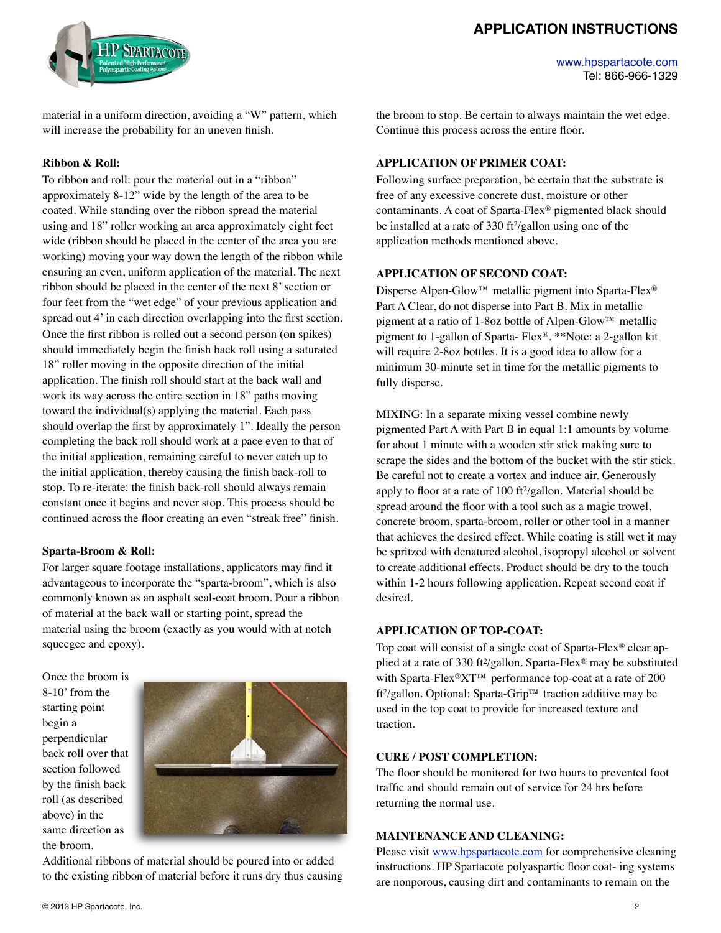## **APPLICATION INSTRUCTIONS**



[www.hpspartacote.com](http://www.hpspartacote.com) Tel: 866-966-1329

material in a uniform direction, avoiding a "W" pattern, which will increase the probability for an uneven finish.

#### **Ribbon & Roll:**

To ribbon and roll: pour the material out in a "ribbon" approximately 8-12" wide by the length of the area to be coated. While standing over the ribbon spread the material using and 18" roller working an area approximately eight feet wide (ribbon should be placed in the center of the area you are working) moving your way down the length of the ribbon while ensuring an even, uniform application of the material. The next ribbon should be placed in the center of the next 8' section or four feet from the "wet edge" of your previous application and spread out 4' in each direction overlapping into the first section. Once the first ribbon is rolled out a second person (on spikes) should immediately begin the finish back roll using a saturated 18" roller moving in the opposite direction of the initial application. The finish roll should start at the back wall and work its way across the entire section in 18" paths moving toward the individual(s) applying the material. Each pass should overlap the first by approximately 1". Ideally the person completing the back roll should work at a pace even to that of the initial application, remaining careful to never catch up to the initial application, thereby causing the finish back-roll to stop. To re-iterate: the finish back-roll should always remain constant once it begins and never stop. This process should be continued across the floor creating an even "streak free" finish.

#### **Sparta-Broom & Roll:**

For larger square footage installations, applicators may find it advantageous to incorporate the "sparta-broom", which is also commonly known as an asphalt seal-coat broom. Pour a ribbon of material at the back wall or starting point, spread the material using the broom (exactly as you would with at notch squeegee and epoxy).

Once the broom is 8-10' from the starting point begin a perpendicular back roll over that section followed by the finish back roll (as described above) in the same direction as the broom.



Additional ribbons of material should be poured into or added to the existing ribbon of material before it runs dry thus causing

the broom to stop. Be certain to always maintain the wet edge. Continue this process across the entire floor.

#### **APPLICATION OF PRIMER COAT:**

Following surface preparation, be certain that the substrate is free of any excessive concrete dust, moisture or other contaminants. A coat of Sparta-Flex® pigmented black should be installed at a rate of 330 ft<sup>2</sup>/gallon using one of the application methods mentioned above.

#### **APPLICATION OF SECOND COAT:**

Disperse Alpen-Glow™ metallic pigment into Sparta-Flex<sup>®</sup> Part A Clear, do not disperse into Part B. Mix in metallic pigment at a ratio of 1-8oz bottle of Alpen-Glow™ metallic pigment to 1-gallon of Sparta- Flex®. \*\*Note: a 2-gallon kit will require 2-8oz bottles. It is a good idea to allow for a minimum 30-minute set in time for the metallic pigments to fully disperse.

MIXING: In a separate mixing vessel combine newly pigmented Part A with Part B in equal 1:1 amounts by volume for about 1 minute with a wooden stir stick making sure to scrape the sides and the bottom of the bucket with the stir stick. Be careful not to create a vortex and induce air. Generously apply to floor at a rate of 100 ft2/gallon. Material should be spread around the floor with a tool such as a magic trowel, concrete broom, sparta-broom, roller or other tool in a manner that achieves the desired effect. While coating is still wet it may be spritzed with denatured alcohol, isopropyl alcohol or solvent to create additional effects. Product should be dry to the touch within 1-2 hours following application. Repeat second coat if desired.

#### **APPLICATION OF TOP-COAT:**

Top coat will consist of a single coat of Sparta-Flex® clear applied at a rate of 330 ft2/gallon. Sparta-Flex® may be substituted with Sparta-Flex®XT™ performance top-coat at a rate of 200 ft2/gallon. Optional: Sparta-Grip™ traction additive may be used in the top coat to provide for increased texture and traction.

## **CURE / POST COMPLETION:**

The floor should be monitored for two hours to prevented foot traffic and should remain out of service for 24 hrs before returning the normal use.

#### **MAINTENANCE AND CLEANING:**

Please visit [www.hpspartacote.com](http://www.hpspartacote.com) for comprehensive cleaning instructions. HP Spartacote polyaspartic floor coat- ing systems are nonporous, causing dirt and contaminants to remain on the